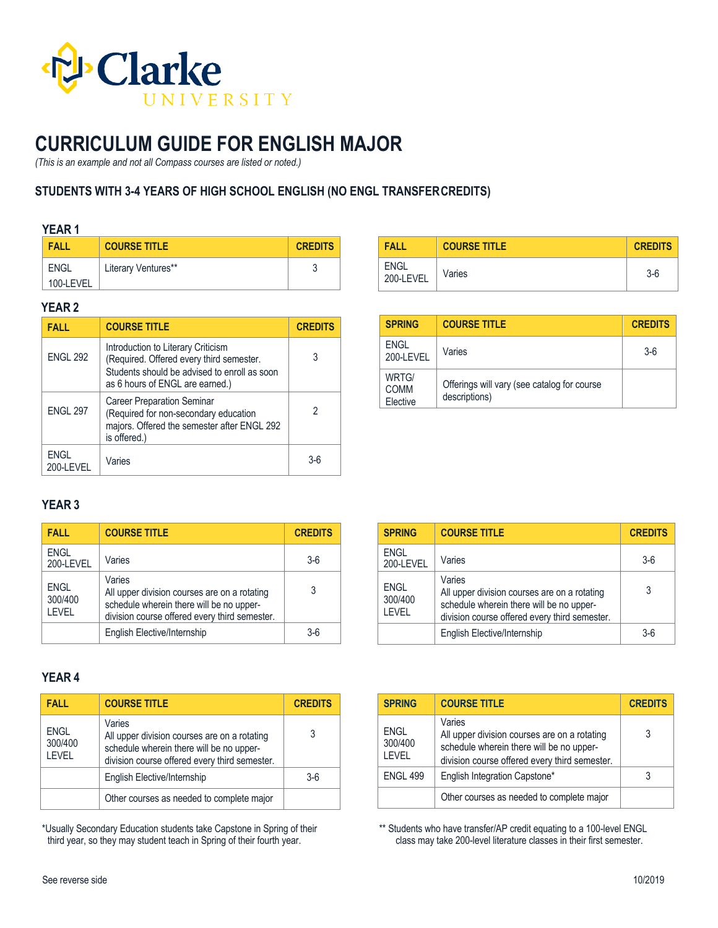

# **CURRICULUM GUIDE FOR ENGLISH MAJOR**

*(This is an example and not all Compass courses are listed or noted.)*

## **STUDENTS WITH 3-4 YEARS OF HIGH SCHOOL ENGLISH (NO ENGL TRANSFERCREDITS)**

#### **YEAR 1**

| FALL        | <b>COURSE TITLE</b> | <b>CREDITS</b> |
|-------------|---------------------|----------------|
| <b>ENGL</b> | Literary Ventures** |                |
| 100-LEVEL   |                     |                |

### **YEAR 2**

| <b>FALL</b>       | <b>COURSE TITLE</b>                                                                                                                                               | <b>CREDITS</b> |
|-------------------|-------------------------------------------------------------------------------------------------------------------------------------------------------------------|----------------|
| <b>ENGL 292</b>   | Introduction to Literary Criticism<br>(Required. Offered every third semester.<br>Students should be advised to enroll as soon<br>as 6 hours of ENGL are earned.) | 3              |
| <b>ENGL 297</b>   | <b>Career Preparation Seminar</b><br>(Required for non-secondary education<br>majors. Offered the semester after ENGL 292<br>is offered.)                         | 2              |
| ENGL<br>200-LEVEL | Varies                                                                                                                                                            | 3-ĥ            |

| <b>FALL</b>              | <b>COURSE TITLE</b> | <b>CREDITS</b> |
|--------------------------|---------------------|----------------|
| <b>ENGL</b><br>200-LEVEL | Varies              | $3-6$          |

| <b>SPRING</b>                    | <b>COURSE TITLE</b>                                          | <b>CREDITS</b> |
|----------------------------------|--------------------------------------------------------------|----------------|
| <b>ENGL</b><br>200-I FVFI        | Varies                                                       | $3-6$          |
| WRTG/<br><b>COMM</b><br>Elective | Offerings will vary (see catalog for course<br>descriptions) |                |

## **YEAR 3**

| <b>FALL</b>                      | <b>COURSE TITLE</b>                                                                                                                                 | <b>CREDITS</b> |
|----------------------------------|-----------------------------------------------------------------------------------------------------------------------------------------------------|----------------|
| <b>ENGL</b><br>200-LEVEL         | Varies                                                                                                                                              | $3-6$          |
| <b>ENGL</b><br>300/400<br>I FVFI | Varies<br>All upper division courses are on a rotating<br>schedule wherein there will be no upper-<br>division course offered every third semester. | 3              |
|                                  | English Elective/Internship                                                                                                                         | $3-6$          |

| <b>SPRING</b>                    | <b>COURSE TITLE</b>                                                                                                                                 | <b>CREDITS</b> |
|----------------------------------|-----------------------------------------------------------------------------------------------------------------------------------------------------|----------------|
| <b>ENGL</b><br>200-LEVEL         | Varies                                                                                                                                              | $3-6$          |
| <b>ENGL</b><br>300/400<br>I FVFI | Varies<br>All upper division courses are on a rotating<br>schedule wherein there will be no upper-<br>division course offered every third semester. | 3              |
|                                  | English Elective/Internship                                                                                                                         | $3-6$          |

## **YEAR 4**

| <b>FALL</b>                      | <b>COURSE TITLE</b>                                                                                                                                 | <b>CREDITS</b> |
|----------------------------------|-----------------------------------------------------------------------------------------------------------------------------------------------------|----------------|
| <b>ENGL</b><br>300/400<br>I FVFI | Varies<br>All upper division courses are on a rotating<br>schedule wherein there will be no upper-<br>division course offered every third semester. | 3              |
|                                  | English Elective/Internship                                                                                                                         | $3-6$          |
|                                  | Other courses as needed to complete major                                                                                                           |                |

\*Usually Secondary Education students take Capstone in Spring of their third year, so they may student teach in Spring of their fourth year.

| <b>SPRING</b>                    | <b>COURSE TITLE</b>                                                                                                                                 | <b>CREDITS</b> |
|----------------------------------|-----------------------------------------------------------------------------------------------------------------------------------------------------|----------------|
| <b>ENGL</b><br>300/400<br>I FVFI | Varies<br>All upper division courses are on a rotating<br>schedule wherein there will be no upper-<br>division course offered every third semester. | 3              |
| <b>ENGL 499</b>                  | English Integration Capstone*                                                                                                                       | 3              |
|                                  | Other courses as needed to complete major                                                                                                           |                |

\*\* Students who have transfer/AP credit equating to a 100-level ENGL class may take 200-level literature classes in their first semester.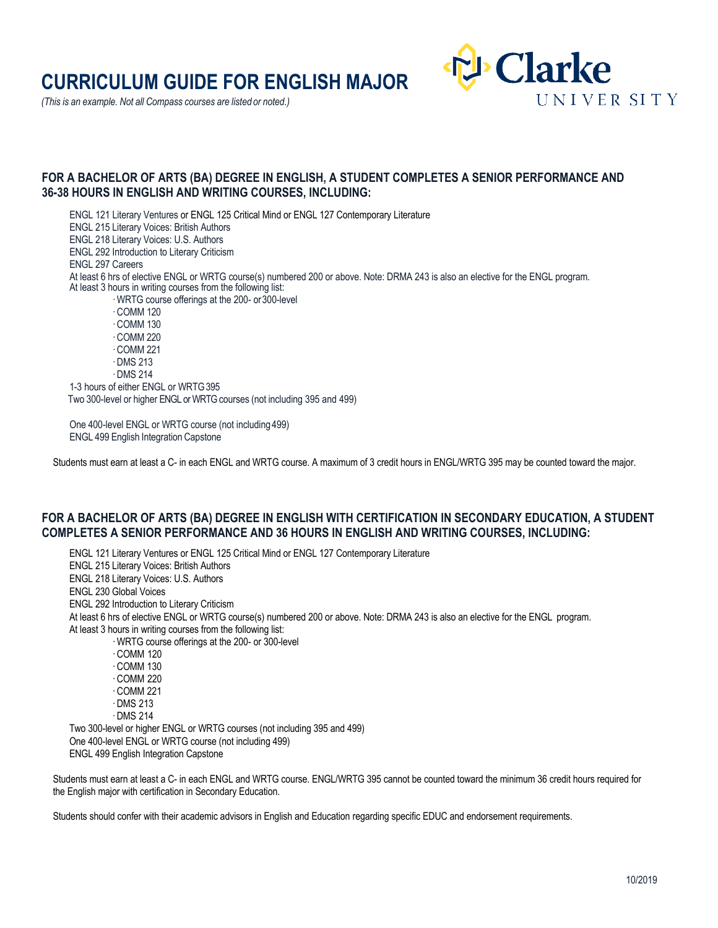# **CURRICULUM GUIDE FOR ENGLISH MAJOR**

*(This is an example. Not all Compass courses are listed or noted.)*



#### **FOR A BACHELOR OF ARTS (BA) DEGREE IN ENGLISH, A STUDENT COMPLETES A SENIOR PERFORMANCE AND 36-38 HOURS IN ENGLISH AND WRITING COURSES, INCLUDING:**

ENGL 121 Literary Ventures or ENGL 125 Critical Mind or ENGL 127 Contemporary Literature ENGL 215 Literary Voices: British Authors ENGL 218 Literary Voices: U.S. Authors ENGL 292 Introduction to Literary Criticism ENGL 297 Careers At least 6 hrs of elective ENGL or WRTG course(s) numbered 200 or above. Note: DRMA 243 is also an elective for the ENGL program. At least 3 hours in writing courses from the following list: · WRTG course offerings at the 200- or300-level · COMM 120 · COMM 130 · COMM 220 · COMM 221 · DMS 213 · DMS 214 1-3 hours of either ENGL or WRTG395 Two 300-level or higher ENGL or WRTG courses (not including 395 and 499)

One 400-level ENGL or WRTG course (not including 499) ENGL 499 English Integration Capstone

Students must earn at least a C- in each ENGL and WRTG course. A maximum of 3 credit hours in ENGL/WRTG 395 may be counted toward the major.

### **FOR A BACHELOR OF ARTS (BA) DEGREE IN ENGLISH WITH CERTIFICATION IN SECONDARY EDUCATION, A STUDENT COMPLETES A SENIOR PERFORMANCE AND 36 HOURS IN ENGLISH AND WRITING COURSES, INCLUDING:**

ENGL 121 Literary Ventures or ENGL 125 Critical Mind or ENGL 127 Contemporary Literature ENGL 215 Literary Voices: British Authors ENGL 218 Literary Voices: U.S. Authors ENGL 230 Global Voices ENGL 292 Introduction to Literary Criticism At least 6 hrs of elective ENGL or WRTG course(s) numbered 200 or above. Note: DRMA 243 is also an elective for the ENGL program. At least 3 hours in writing courses from the following list: · WRTG course offerings at the 200- or 300-level · COMM 120 · COMM 130 · COMM 220 · COMM 221 · DMS 213 · DMS 214 Two 300-level or higher ENGL or WRTG courses (not including 395 and 499) One 400-level ENGL or WRTG course (not including 499) ENGL 499 English Integration Capstone

Students must earn at least a C- in each ENGL and WRTG course. ENGL/WRTG 395 cannot be counted toward the minimum 36 credit hours required for the English major with certification in Secondary Education.

Students should confer with their academic advisors in English and Education regarding specific EDUC and endorsement requirements.